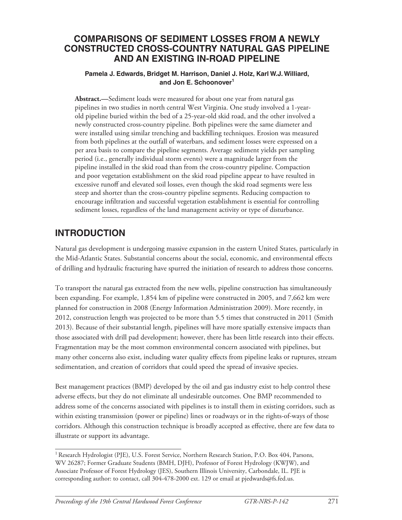### **Comparisons of Sediment Losses from a Newly Constructed Cross-Country Natural Gas Pipeline and an Existing In-Road Pipeline**

### **Pamela J. Edwards, Bridget M. Harrison, Daniel J. Holz, Karl W.J. Williard, and Jon E. Schoonover<sup>1</sup>**

**Abstract.—**Sediment loads were measured for about one year from natural gas pipelines in two studies in north central West Virginia. One study involved a 1-yearold pipeline buried within the bed of a 25-year-old skid road, and the other involved a newly constructed cross-country pipeline. Both pipelines were the same diameter and were installed using similar trenching and backfilling techniques. Erosion was measured from both pipelines at the outfall of waterbars, and sediment losses were expressed on a per area basis to compare the pipeline segments. Average sediment yields per sampling period (i.e., generally individual storm events) were a magnitude larger from the pipeline installed in the skid road than from the cross-country pipeline. Compaction and poor vegetation establishment on the skid road pipeline appear to have resulted in excessive runoff and elevated soil losses, even though the skid road segments were less steep and shorter than the cross-country pipeline segments. Reducing compaction to encourage infiltration and successful vegetation establishment is essential for controlling sediment losses, regardless of the land management activity or type of disturbance.

### **INTRODUCTION**

Natural gas development is undergoing massive expansion in the eastern United States, particularly in the Mid-Atlantic States. Substantial concerns about the social, economic, and environmental effects of drilling and hydraulic fracturing have spurred the initiation of research to address those concerns.

To transport the natural gas extracted from the new wells, pipeline construction has simultaneously been expanding. For example, 1,854 km of pipeline were constructed in 2005, and 7,662 km were planned for construction in 2008 (Energy Information Administration 2009). More recently, in 2012, construction length was projected to be more than 5.5 times that constructed in 2011 (Smith 2013). Because of their substantial length, pipelines will have more spatially extensive impacts than those associated with drill pad development; however, there has been little research into their effects. Fragmentation may be the most common environmental concern associated with pipelines, but many other concerns also exist, including water quality effects from pipeline leaks or ruptures, stream sedimentation, and creation of corridors that could speed the spread of invasive species.

Best management practices (BMP) developed by the oil and gas industry exist to help control these adverse effects, but they do not eliminate all undesirable outcomes. One BMP recommended to address some of the concerns associated with pipelines is to install them in existing corridors, such as within existing transmission (power or pipeline) lines or roadways or in the rights-of-ways of those corridors. Although this construction technique is broadly accepted as effective, there are few data to illustrate or support its advantage.

<sup>&</sup>lt;sup>1</sup> Research Hydrologist (PJE), U.S. Forest Service, Northern Research Station, P.O. Box 404, Parsons, WV 26287; Former Graduate Students (BMH, DJH), Professor of Forest Hydrology (KWJW), and Associate Professor of Forest Hydrology (JES), Southern Illinois University, Carbondale, IL. PJE is corresponding author: to contact, call 304-478-2000 ext. 129 or email at pjedwards@fs.fed.us.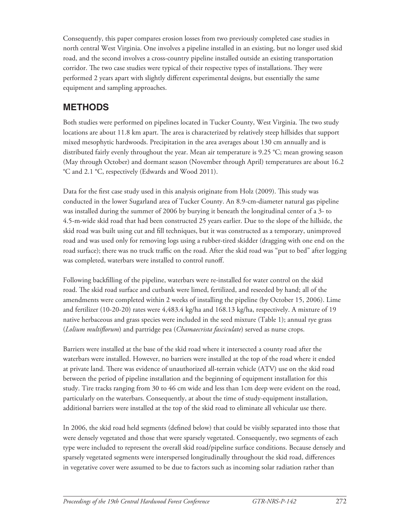Consequently, this paper compares erosion losses from two previously completed case studies in north central West Virginia. One involves a pipeline installed in an existing, but no longer used skid road, and the second involves a cross-country pipeline installed outside an existing transportation corridor. The two case studies were typical of their respective types of installations. They were performed 2 years apart with slightly different experimental designs, but essentially the same equipment and sampling approaches.

### **METHODS**

Both studies were performed on pipelines located in Tucker County, West Virginia. The two study locations are about 11.8 km apart. The area is characterized by relatively steep hillsides that support mixed mesophytic hardwoods. Precipitation in the area averages about 130 cm annually and is distributed fairly evenly throughout the year. Mean air temperature is 9.25 °C; mean growing season (May through October) and dormant season (November through April) temperatures are about 16.2 °C and 2.1 °C, respectively (Edwards and Wood 2011).

Data for the first case study used in this analysis originate from Holz (2009). This study was conducted in the lower Sugarland area of Tucker County. An 8.9-cm-diameter natural gas pipeline was installed during the summer of 2006 by burying it beneath the longitudinal center of a 3- to 4.5-m-wide skid road that had been constructed 25 years earlier. Due to the slope of the hillside, the skid road was built using cut and fill techniques, but it was constructed as a temporary, unimproved road and was used only for removing logs using a rubber-tired skidder (dragging with one end on the road surface); there was no truck traffic on the road. After the skid road was "put to bed" after logging was completed, waterbars were installed to control runoff.

Following backfilling of the pipeline, waterbars were re-installed for water control on the skid road. The skid road surface and cutbank were limed, fertilized, and reseeded by hand; all of the amendments were completed within 2 weeks of installing the pipeline (by October 15, 2006). Lime and fertilizer (10-20-20) rates were 4,483.4 kg/ha and 168.13 kg/ha, respectively. A mixture of 19 native herbaceous and grass species were included in the seed mixture (Table 1); annual rye grass (*Lolium multiflorum*) and partridge pea (*Chamaecrista fasciculate*) served as nurse crops.

Barriers were installed at the base of the skid road where it intersected a county road after the waterbars were installed. However, no barriers were installed at the top of the road where it ended at private land. There was evidence of unauthorized all-terrain vehicle (ATV) use on the skid road between the period of pipeline installation and the beginning of equipment installation for this study. Tire tracks ranging from 30 to 46 cm wide and less than 1cm deep were evident on the road, particularly on the waterbars. Consequently, at about the time of study-equipment installation, additional barriers were installed at the top of the skid road to eliminate all vehicular use there.

In 2006, the skid road held segments (defined below) that could be visibly separated into those that were densely vegetated and those that were sparsely vegetated. Consequently, two segments of each type were included to represent the overall skid road/pipeline surface conditions. Because densely and sparsely vegetated segments were interspersed longitudinally throughout the skid road, differences in vegetative cover were assumed to be due to factors such as incoming solar radiation rather than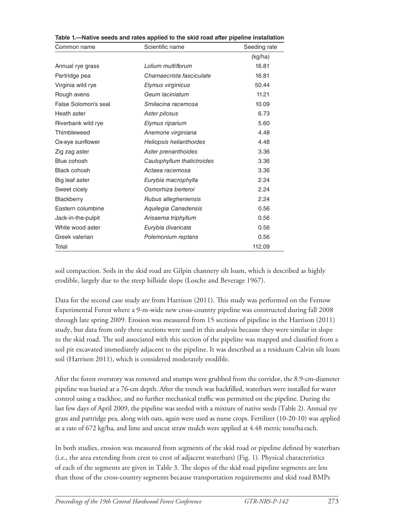| Common name          | Scientific name            | Seeding rate |
|----------------------|----------------------------|--------------|
|                      |                            | (kg/ha)      |
| Annual rye grass     | Lolium multiflorum         | 16.81        |
| Partridge pea        | Chamaecrista fasciculate   | 16.81        |
| Virginia wild rye    | Elymus virginicus          | 50.44        |
| Rough avens          | Geum laciniatum            | 11.21        |
| False Solomon's seal | Smilacina racemosa         | 10.09        |
| Heath aster          | Aster pilosus              | 6.73         |
| Riverbank wild rye   | Elymus riparium            | 5.60         |
| Thimbleweed          | Anemone virginiana         | 4.48         |
| Ox-eye sunflower     | Heliopsis helianthoides    | 4.48         |
| Zig zag aster        | Aster prenanthoides        | 3.36         |
| Blue cohosh          | Caulophyllum thalictroides | 3.36         |
| <b>Black cohosh</b>  | Actaea racemosa            | 3.36         |
| Big leaf aster       | Eurybia macrophylla        | 2.24         |
| Sweet cicely         | Osmorhiza berteroi         | 2.24         |
| Blackberry           | Rubus allegheniensis       | 2.24         |
| Eastern columbine    | Aquilegia Canadensis       | 0.56         |
| Jack-in-the-pulpit   | Arisaema triphyllum        | 0.56         |
| White wood aster     | Eurybia divaricata         | 0.56         |
| Greek valerian       | Polemonium reptans         | 0.56         |
| Total                |                            | 112.09       |

| Table 1.—Native seeds and rates applied to the skid road after pipeline installation |  |
|--------------------------------------------------------------------------------------|--|
|--------------------------------------------------------------------------------------|--|

soil compaction. Soils in the skid road are Gilpin channery silt loam, which is described as highly erodible, largely due to the steep hillside slope (Losche and Beverage 1967).

Data for the second case study are from Harrison (2011). This study was performed on the Fernow Experimental Forest where a 9-m-wide new cross-country pipeline was constructed during fall 2008 through late spring 2009. Erosion was measured from 15 sections of pipeline in the Harrison (2011) study, but data from only three sections were used in this analysis because they were similar in slope to the skid road. The soil associated with this section of the pipeline was mapped and classified from a soil pit excavated immediately adjacent to the pipeline. It was described as a residuum Calvin silt loam soil (Harrison 2011), which is considered moderately erodible.

After the forest overstory was removed and stumps were grubbed from the corridor, the 8.9-cm-diameter pipeline was buried at a 76-cm depth. After the trench was backfilled, waterbars were installed for water control using a trackhoe, and no further mechanical traffic was permitted on the pipeline. During the last few days of April 2009, the pipeline was seeded with a mixture of native seeds (Table 2). Annual rye grass and partridge pea, along with oats, again were used as nurse crops. Fertilizer (10-20-10) was applied at a rate of 672 kg/ha, and lime and uncut straw mulch were applied at 4.48 metric tons/ha each.

In both studies, erosion was measured from segments of the skid road or pipeline defined by waterbars (i.e., the area extending from crest to crest of adjacent waterbars) (Fig. 1). Physical characteristics of each of the segments are given in Table 3. The slopes of the skid road pipeline segments are less than those of the cross-country segments because transportation requirements and skid road BMPs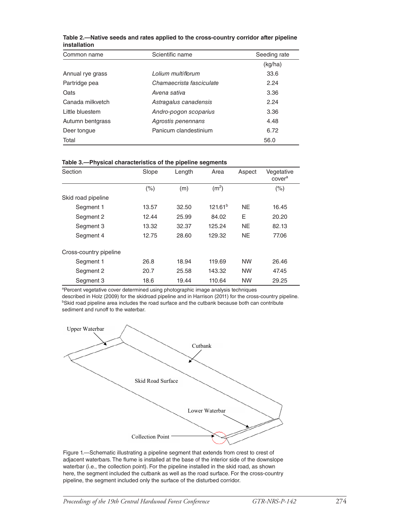| Scientific name<br>Common name |                          | Seeding rate |  |
|--------------------------------|--------------------------|--------------|--|
|                                |                          | (kq/ha)      |  |
| Annual rye grass               | Lolium multiflorum       | 33.6         |  |
| Partridge pea                  | Chamaecrista fasciculate | 2.24         |  |
| Oats                           | Avena sativa             | 3.36         |  |
| Canada milkvetch               | Astragalus canadensis    | 2.24         |  |
| Little bluestem                | Andro-pogon scoparius    | 3.36         |  |
| Autumn bentgrass               | Agrostis penennans       | 4.48         |  |
| Deer tongue                    | Panicum clandestinium    | 6.72         |  |
| Total                          |                          | 56.0         |  |

**Table 2.—Native seeds and rates applied to the cross-country corridor after pipeline installation**

|  | Table 3.-Physical characteristics of the pipeline segments |
|--|------------------------------------------------------------|
|  |                                                            |

| Section                | Slope   | Length | Area                | Aspect    | Vegetative<br>cover <sup>a</sup> |
|------------------------|---------|--------|---------------------|-----------|----------------------------------|
|                        | $(\% )$ | (m)    | (m <sup>2</sup> )   |           | $(\% )$                          |
| Skid road pipeline     |         |        |                     |           |                                  |
| Segment 1              | 13.57   | 32.50  | 121.61 <sup>b</sup> | <b>NE</b> | 16.45                            |
| Segment 2              | 12.44   | 25.99  | 84.02               | E         | 20.20                            |
| Segment 3              | 13.32   | 32.37  | 125.24              | <b>NE</b> | 82.13                            |
| Segment 4              | 12.75   | 28.60  | 129.32              | <b>NE</b> | 77.06                            |
| Cross-country pipeline |         |        |                     |           |                                  |
| Segment 1              | 26.8    | 18.94  | 119.69              | <b>NW</b> | 26.46                            |
| Segment 2              | 20.7    | 25.58  | 143.32              | <b>NW</b> | 47.45                            |
| Segment 3              | 18.6    | 19.44  | 110.64              | <b>NW</b> | 29.25                            |

<sup>a</sup>Percent vegetative cover determined using photographic image analysis techniques

described in Holz (2009) for the skidroad pipeline and in Harrison (2011) for the cross-country pipeline. <sup>b</sup>Skid road pipeline area includes the road surface and the cutbank because both can contribute sediment and runoff to the waterbar.



Figure 1.—Schematic illustrating a pipeline segment that extends from crest to crest of adjacent waterbars. The flume is installed at the base of the interior side of the downslope waterbar (i.e., the collection point). For the pipeline installed in the skid road, as shown here, the segment included the cutbank as well as the road surface. For the cross-country pipeline, the segment included only the surface of the disturbed corridor.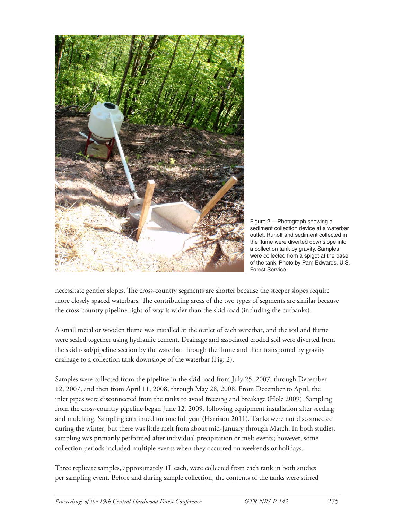



necessitate gentler slopes. The cross-country segments are shorter because the steeper slopes require more closely spaced waterbars. The contributing areas of the two types of segments are similar because the cross-country pipeline right-of-way is wider than the skid road (including the cutbanks).

A small metal or wooden flume was installed at the outlet of each waterbar, and the soil and flume were sealed together using hydraulic cement. Drainage and associated eroded soil were diverted from the skid road/pipeline section by the waterbar through the flume and then transported by gravity drainage to a collection tank downslope of the waterbar (Fig. 2).

Samples were collected from the pipeline in the skid road from July 25, 2007, through December 12, 2007, and then from April 11, 2008, through May 28, 2008. From December to April, the inlet pipes were disconnected from the tanks to avoid freezing and breakage (Holz 2009). Sampling from the cross-country pipeline began June 12, 2009, following equipment installation after seeding and mulching. Sampling continued for one full year (Harrison 2011). Tanks were not disconnected during the winter, but there was little melt from about mid-January through March. In both studies, sampling was primarily performed after individual precipitation or melt events; however, some collection periods included multiple events when they occurred on weekends or holidays.

Three replicate samples, approximately 1L each, were collected from each tank in both studies per sampling event. Before and during sample collection, the contents of the tanks were stirred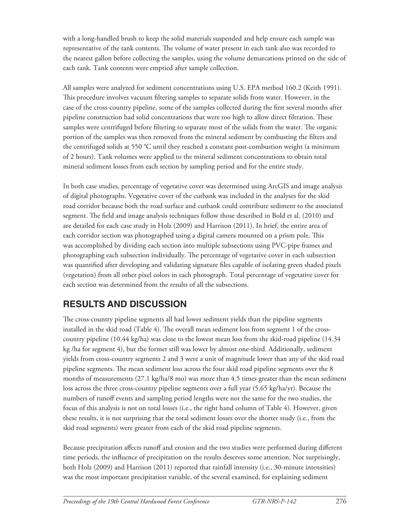with a long-handled brush to keep the solid materials suspended and help ensure each sample was representative of the tank contents. The volume of water present in each tank also was recorded to the nearest gallon before collecting the samples, using the volume demarcations printed on the side of each tank. Tank contents were emptied after sample collection.

All samples were analyzed for sediment concentrations using U.S. EPA method 160.2 (Keith 1991). This procedure involves vacuum filtering samples to separate solids from water. However, in the case of the cross-country pipeline, some of the samples collected during the first several months after pipeline construction had solid concentrations that were too high to allow direct filtration. These samples were centrifuged before filtering to separate most of the solids from the water. The organic portion of the samples was then removed from the mineral sediment by combusting the filters and the centrifuged solids at 550 °C until they reached a constant post-combustion weight (a minimum of 2 hours). Tank volumes were applied to the mineral sediment concentrations to obtain total mineral sediment losses from each section by sampling period and for the entire study.

In both case studies, percentage of vegetative cover was determined using ArcGIS and image analysis of digital photographs. Vegetative cover of the cutbank was included in the analyses for the skid road corridor because both the road surface and cutbank could contribute sediment to the associated segment. The field and image analysis techniques follow those described in Bold et al. (2010) and are detailed for each case study in Holz (2009) and Harrison (2011). In brief, the entire area of each corridor section was photographed using a digital camera mounted on a prism pole. This was accomplished by dividing each section into multiple subsections using PVC-pipe frames and photographing each subsection individually. The percentage of vegetative cover in each subsection was quantified after developing and validating signature files capable of isolating green shaded pixels (vegetation) from all other pixel colors in each photograph. Total percentage of vegetative cover for each section was determined from the results of all the subsections.

## **RESULTS AND DISCUSSION**

The cross-country pipeline segments all had lower sediment yields than the pipeline segments installed in the skid road (Table 4). The overall mean sediment loss from segment 1 of the crosscountry pipeline (10.44 kg/ha) was close to the lowest mean loss from the skid-road pipeline (14.34 kg /ha for segment 4), but the former still was lower by almost one-third. Additionally, sediment yields from cross-country segments 2 and 3 were a unit of magnitude lower than any of the skid road pipeline segments. The mean sediment loss across the four skid road pipeline segments over the 8 months of measurements (27.1 kg/ha/8 mo) was more than 4.5 times greater than the mean sediment loss across the three cross-country pipeline segments over a full year (5.65 kg/ha/yr). Because the numbers of runoff events and sampling period lengths were not the same for the two studies, the focus of this analysis is not on total losses (i.e., the right hand column of Table 4). However, given these results, it is not surprising that the total sediment losses over the shorter study (i.e., from the skid road segments) were greater from each of the skid road pipeline segments.

Because precipitation affects runoff and erosion and the two studies were performed during different time periods, the influence of precipitation on the results deserves some attention. Not surprisingly, both Holz (2009) and Harrison (2011) reported that rainfall intensity (i.e., 30-minute intensities) was the most important precipitation variable, of the several examined, for explaining sediment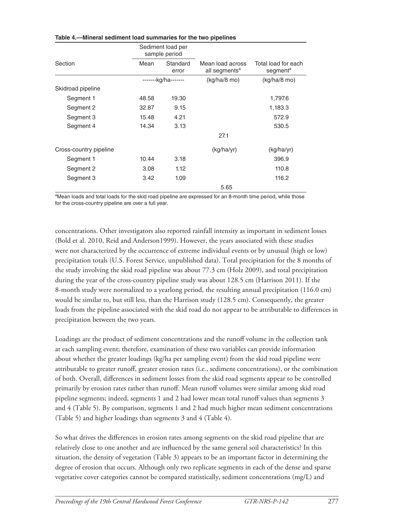|                        |       | Sediment load per<br>sample period |                                               |                                             |  |
|------------------------|-------|------------------------------------|-----------------------------------------------|---------------------------------------------|--|
| Section                | Mean  | Standard<br>error                  | Mean load across<br>all segments <sup>a</sup> | Total load for each<br>segment <sup>a</sup> |  |
|                        |       | -------kg/ha-------                | $(kg/ha/8 \text{ mo})$                        | $(kg/ha/8 \text{ mo})$                      |  |
| Skidroad pipeline      |       |                                    |                                               |                                             |  |
| Segment 1              | 48.58 | 19.30                              |                                               | 1,797.6                                     |  |
| Segment 2              | 32.87 | 9.15                               |                                               | 1,183.3                                     |  |
| Segment 3              | 15.48 | 4.21                               |                                               | 572.9                                       |  |
| Segment 4              | 14.34 | 3.13                               |                                               | 530.5                                       |  |
|                        |       |                                    | 27.1                                          |                                             |  |
| Cross-country pipeline |       |                                    | (kg/ha/yr)                                    | (kg/ha/yr)                                  |  |
| Segment 1              | 10.44 | 3.18                               |                                               | 396.9                                       |  |
| Segment 2              | 3.08  | 1.12                               |                                               | 110.8                                       |  |
| Segment 3              | 3.42  | 1.09                               |                                               | 116.2                                       |  |
|                        |       |                                    | 5.65                                          |                                             |  |

#### **Table 4.—Mineral sediment load summaries for the two pipelines**

<sup>a</sup>Mean loads and total loads for the skid road pipeline are expressed for an 8-month time period, while those for the cross-country pipeline are over a full year.

concentrations. Other investigators also reported rainfall intensity as important in sediment losses (Bold et al. 2010, Reid and Anderson1999). However, the years associated with these studies were not characterized by the occurrence of extreme individual events or by unusual (high or low) precipitation totals (U.S. Forest Service, unpublished data). Total precipitation for the 8 months of the study involving the skid road pipeline was about 77.3 cm (Holz 2009), and total precipitation during the year of the cross-country pipeline study was about 128.5 cm (Harrison 2011). If the 8-month study were normalized to a yearlong period, the resulting annual precipitation (116.0 cm) would be similar to, but still less, than the Harrison study (128.5 cm). Consequently, the greater loads from the pipeline associated with the skid road do not appear to be attributable to differences in precipitation between the two years.

Loadings are the product of sediment concentrations and the runoff volume in the collection tank at each sampling event; therefore, examination of these two variables can provide information about whether the greater loadings (kg/ha per sampling event) from the skid road pipeline were attributable to greater runoff, greater erosion rates (i.e., sediment concentrations), or the combination of both. Overall, differences in sediment losses from the skid road segments appear to be controlled primarily by erosion rates rather than runoff. Mean runoff volumes were similar among skid road pipeline segments; indeed, segments 1 and 2 had lower mean total runoff values than segments 3 and 4 (Table 5). By comparison, segments 1 and 2 had much higher mean sediment concentrations (Table 5) and higher loadings than segments 3 and 4 (Table 4).

So what drives the differences in erosion rates among segments on the skid road pipeline that are relatively close to one another and are influenced by the same general soil characteristics? In this situation, the density of vegetation (Table 3) appears to be an important factor in determining the degree of erosion that occurs. Although only two replicate segments in each of the dense and sparse vegetative cover categories cannot be compared statistically, sediment concentrations (mg/L) and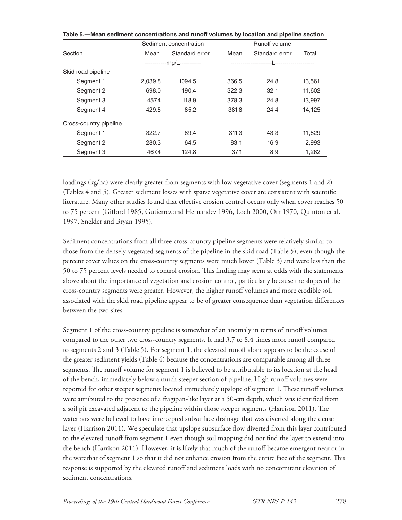|                        | Sediment concentration |                             | Runoff volume |                          |        |
|------------------------|------------------------|-----------------------------|---------------|--------------------------|--------|
| Section                | Mean                   | Standard error              | Mean          | Standard error           | Total  |
|                        |                        | ------------ma/L----------- |               | --  -------------------- |        |
| Skid road pipeline     |                        |                             |               |                          |        |
| Segment 1              | 2.039.8                | 1094.5                      | 366.5         | 24.8                     | 13,561 |
| Segment 2              | 698.0                  | 190.4                       | 322.3         | 32.1                     | 11,602 |
| Segment 3              | 457.4                  | 118.9                       | 378.3         | 24.8                     | 13,997 |
| Segment 4              | 429.5                  | 85.2                        | 381.8         | 24.4                     | 14.125 |
| Cross-country pipeline |                        |                             |               |                          |        |
| Segment 1              | 322.7                  | 89.4                        | 311.3         | 43.3                     | 11,829 |
| Segment 2              | 280.3                  | 64.5                        | 83.1          | 16.9                     | 2,993  |
| Segment 3              | 467.4                  | 124.8                       | 37.1          | 8.9                      | 1.262  |

**Table 5.—Mean sediment concentrations and runoff volumes by location and pipeline section**

loadings (kg/ha) were clearly greater from segments with low vegetative cover (segments 1 and 2) (Tables 4 and 5). Greater sediment losses with sparse vegetative cover are consistent with scientific literature. Many other studies found that effective erosion control occurs only when cover reaches 50 to 75 percent (Gifford 1985, Gutierrez and Hernandez 1996, Loch 2000, Orr 1970, Quinton et al. 1997, Snelder and Bryan 1995).

Sediment concentrations from all three cross-country pipeline segments were relatively similar to those from the densely vegetated segments of the pipeline in the skid road (Table 5), even though the percent cover values on the cross-country segments were much lower (Table 3) and were less than the 50 to 75 percent levels needed to control erosion. This finding may seem at odds with the statements above about the importance of vegetation and erosion control, particularly because the slopes of the cross-country segments were greater. However, the higher runoff volumes and more erodible soil associated with the skid road pipeline appear to be of greater consequence than vegetation differences between the two sites.

Segment 1 of the cross-country pipeline is somewhat of an anomaly in terms of runoff volumes compared to the other two cross-country segments. It had 3.7 to 8.4 times more runoff compared to segments 2 and 3 (Table 5). For segment 1, the elevated runoff alone appears to be the cause of the greater sediment yields (Table 4) because the concentrations are comparable among all three segments. The runoff volume for segment 1 is believed to be attributable to its location at the head of the bench, immediately below a much steeper section of pipeline. High runoff volumes were reported for other steeper segments located immediately upslope of segment 1. These runoff volumes were attributed to the presence of a fragipan-like layer at a 50-cm depth, which was identified from a soil pit excavated adjacent to the pipeline within those steeper segments (Harrison 2011). The waterbars were believed to have intercepted subsurface drainage that was diverted along the dense layer (Harrison 2011). We speculate that upslope subsurface flow diverted from this layer contributed to the elevated runoff from segment 1 even though soil mapping did not find the layer to extend into the bench (Harrison 2011). However, it is likely that much of the runoff became emergent near or in the waterbar of segment 1 so that it did not enhance erosion from the entire face of the segment. This response is supported by the elevated runoff and sediment loads with no concomitant elevation of sediment concentrations.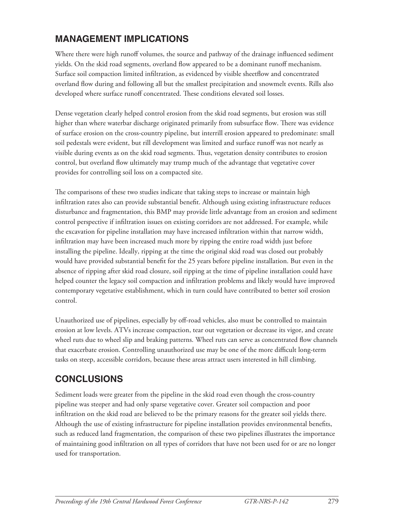### **MANAGEMENT IMPLICATIONS**

Where there were high runoff volumes, the source and pathway of the drainage influenced sediment yields. On the skid road segments, overland flow appeared to be a dominant runoff mechanism. Surface soil compaction limited infiltration, as evidenced by visible sheetflow and concentrated overland flow during and following all but the smallest precipitation and snowmelt events. Rills also developed where surface runoff concentrated. These conditions elevated soil losses.

Dense vegetation clearly helped control erosion from the skid road segments, but erosion was still higher than where waterbar discharge originated primarily from subsurface flow. There was evidence of surface erosion on the cross-country pipeline, but interrill erosion appeared to predominate: small soil pedestals were evident, but rill development was limited and surface runoff was not nearly as visible during events as on the skid road segments. Thus, vegetation density contributes to erosion control, but overland flow ultimately may trump much of the advantage that vegetative cover provides for controlling soil loss on a compacted site.

The comparisons of these two studies indicate that taking steps to increase or maintain high infiltration rates also can provide substantial benefit. Although using existing infrastructure reduces disturbance and fragmentation, this BMP may provide little advantage from an erosion and sediment control perspective if infiltration issues on existing corridors are not addressed. For example, while the excavation for pipeline installation may have increased infiltration within that narrow width, infiltration may have been increased much more by ripping the entire road width just before installing the pipeline. Ideally, ripping at the time the original skid road was closed out probably would have provided substantial benefit for the 25 years before pipeline installation. But even in the absence of ripping after skid road closure, soil ripping at the time of pipeline installation could have helped counter the legacy soil compaction and infiltration problems and likely would have improved contemporary vegetative establishment, which in turn could have contributed to better soil erosion control.

Unauthorized use of pipelines, especially by off-road vehicles, also must be controlled to maintain erosion at low levels. ATVs increase compaction, tear out vegetation or decrease its vigor, and create wheel ruts due to wheel slip and braking patterns. Wheel ruts can serve as concentrated flow channels that exacerbate erosion. Controlling unauthorized use may be one of the more difficult long-term tasks on steep, accessible corridors, because these areas attract users interested in hill climbing.

# **CONCLUSIONS**

Sediment loads were greater from the pipeline in the skid road even though the cross-country pipeline was steeper and had only sparse vegetative cover. Greater soil compaction and poor infiltration on the skid road are believed to be the primary reasons for the greater soil yields there. Although the use of existing infrastructure for pipeline installation provides environmental benefits, such as reduced land fragmentation, the comparison of these two pipelines illustrates the importance of maintaining good infiltration on all types of corridors that have not been used for or are no longer used for transportation.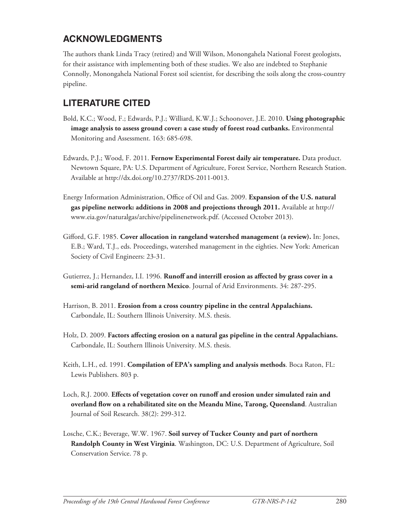### **ACKNOWLEDGMENTS**

The authors thank Linda Tracy (retired) and Will Wilson, Monongahela National Forest geologists, for their assistance with implementing both of these studies. We also are indebted to Stephanie Connolly, Monongahela National Forest soil scientist, for describing the soils along the cross-country pipeline.

### **LITERATURE CITED**

- Bold, K.C.; Wood, F.; Edwards, P.J.; Williard, K.W.J.; Schoonover, J.E. 2010. **Using photographic image analysis to assess ground cover: a case study of forest road cutbanks.** Environmental Monitoring and Assessment. 163: 685-698.
- Edwards, P.J.; Wood, F. 2011. **Fernow Experimental Forest daily air temperature.** Data product. Newtown Square, PA: U.S. Department of Agriculture, Forest Service, Northern Research Station. Available at http://dx.doi.org/10.2737/RDS-2011-0013.
- Energy Information Administration, Office of Oil and Gas. 2009. **Expansion of the U.S. natural gas pipeline network: additions in 2008 and projections through 2011.** Available at http:// www.eia.gov/naturalgas/archive/pipelinenetwork.pdf. (Accessed October 2013).
- Gifford, G.F. 1985. **Cover allocation in rangeland watershed management (a review).** In: Jones, E.B.; Ward, T.J., eds. Proceedings, watershed management in the eighties. New York: American Society of Civil Engineers: 23-31.
- Gutierrez, J.; Hernandez, I.I. 1996. **Runoff and interrill erosion as affected by grass cover in a semi-arid rangeland of northern Mexico**. Journal of Arid Environments. 34: 287-295.
- Harrison, B. 2011. **Erosion from a cross country pipeline in the central Appalachians.** Carbondale, IL: Southern Illinois University. M.S. thesis.
- Holz, D. 2009. **Factors affecting erosion on a natural gas pipeline in the central Appalachians.** Carbondale, IL: Southern Illinois University. M.S. thesis.
- Keith, L.H., ed. 1991. **Compilation of EPA's sampling and analysis methods**. Boca Raton, FL: Lewis Publishers. 803 p.
- Loch, R.J. 2000. **Effects of vegetation cover on runoff and erosion under simulated rain and overland flow on a rehabilitated site on the Meandu Mine, Tarong, Queensland**. Australian Journal of Soil Research. 38(2): 299-312.
- Losche, C.K.; Beverage, W.W. 1967. **Soil survey of Tucker County and part of northern Randolph County in West Virginia**. Washington, DC: U.S. Department of Agriculture, Soil Conservation Service. 78 p.